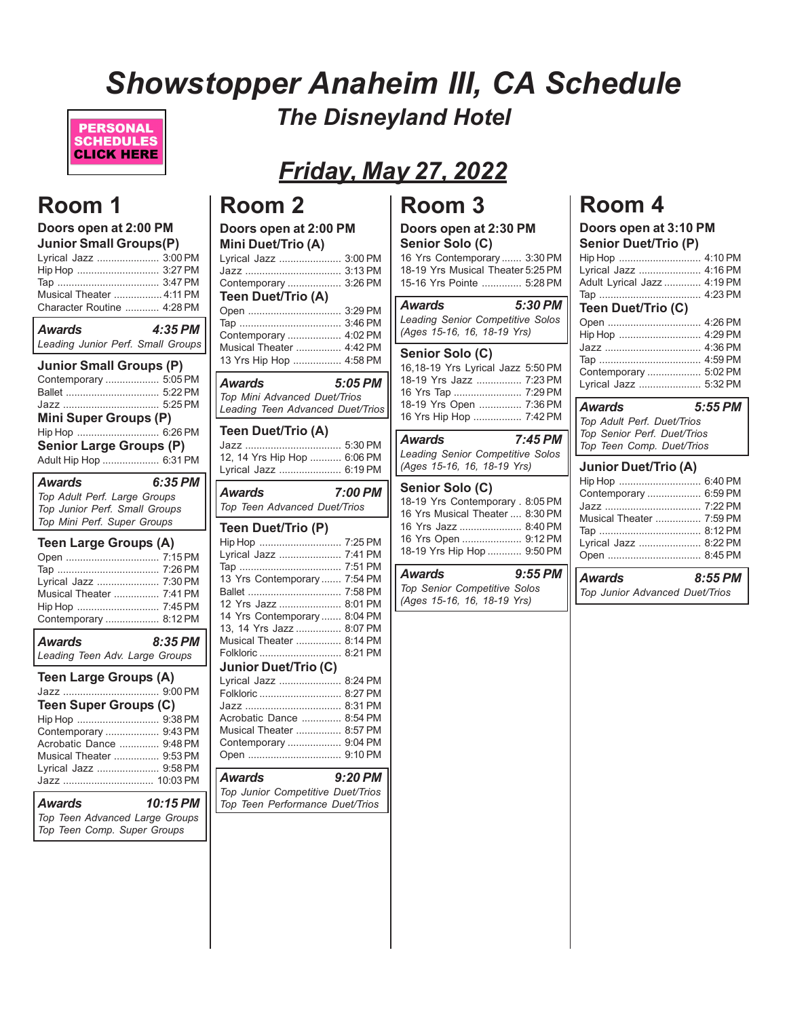# *Showstopper Anaheim III, CA Schedule The Disneyland Hotel*



# *Friday, May 27, 2022*

## **Room 1**

| Doors open at 2:00 PM<br><b>Junior Small Groups(P)</b><br>Lyrical Jazz  3:00 PM<br>Hip Hop  3:27 PM<br>Musical Theater  4:11 PM<br>Character Routine  4:28 PM                                               |           |
|-------------------------------------------------------------------------------------------------------------------------------------------------------------------------------------------------------------|-----------|
| Awards<br>Leading Junior Perf. Small Groups                                                                                                                                                                 | $4:35$ PM |
| <b>Junior Small Groups (P)</b><br>Contemporary  5:05 PM<br>Ballet  5:22 PM<br>Jazz  5:25 PM<br><b>Mini Super Groups (P)</b><br>Hip Hop  6:26 PM<br><b>Senior Large Groups (P)</b><br>Adult Hip Hop  6:31 PM |           |
| <b>Awards</b><br>Top Adult Perf. Large Groups<br>Top Junior Perf. Small Groups<br>Top Mini Perf. Super Groups                                                                                               | 6:35 PM   |
| <b>Teen Large Groups (A)</b><br>Open  7:15 PM<br>Lyrical Jazz  7:30 PM<br><b>Musical Theater  7:41 PM</b><br>Hip Hop  7:45 PM<br>Contemporary  8:12 PM                                                      |           |
| Awards<br>Leading Teen Adv. Large Groups                                                                                                                                                                    | 8:35 PM   |
| <b>Teen Large Groups (A)</b>                                                                                                                                                                                |           |

Jazz .................................. 9:00 PM **Teen Super Groups (C)** Hip Hop ............................. 9:38 PM Contemporary ................... 9:43 PM Acrobatic Dance .............. 9:48 PM Musical Theater ................ 9:53 PM Lyrical Jazz ...................... 9:58 PM Jazz ................................ 10:03 PM *Awards 10:15 PM Top Teen Advanced Large Groups Top Teen Comp. Super Groups*

# **Room 2**

| Doors open at 2:00 PM                                                                                                                                                                                                                                                                             |                                                                                                                                                                                         |
|---------------------------------------------------------------------------------------------------------------------------------------------------------------------------------------------------------------------------------------------------------------------------------------------------|-----------------------------------------------------------------------------------------------------------------------------------------------------------------------------------------|
| Mini Duet/Trio (A)<br>Lyrical Jazz<br>Contemporary<br>Teen Duet/Trio (A)                                                                                                                                                                                                                          | 3:00 PM<br>3:13 PM<br>3:26 PM                                                                                                                                                           |
| Open<br>Contemporary<br>Musical Theater<br>13 Yrs Hip Hop                                                                                                                                                                                                                                         | 3:29 PM<br>3:46 PM<br>4:02 PM<br>4:42 PM<br>4:58 PM                                                                                                                                     |
| Awards<br>Top Mini Advanced Duet/Trios<br>Leading Teen Advanced Duet/Trios                                                                                                                                                                                                                        | 5:05 PM                                                                                                                                                                                 |
| Teen Duet/Trio (A)                                                                                                                                                                                                                                                                                |                                                                                                                                                                                         |
| 12, 14 Yrs Hip Hop  6:06 PM<br>Lyrical Jazz  6:19 PM                                                                                                                                                                                                                                              |                                                                                                                                                                                         |
| Awards<br>Top Teen Advanced Duet/Trios                                                                                                                                                                                                                                                            | 7:00 PM                                                                                                                                                                                 |
| Teen Duet/Trio (P)<br>Hip Hop<br>Lyrical Jazz<br>13 Yrs Contemporary<br>Ballet<br>12 Yrs Jazz<br>14 Yrs Contemporary<br>13, 14 Yrs Jazz<br>Musical Theater<br>Folkloric<br><b>Junior Duet/Trio (C)</b><br>Lyrical Jazz<br>Folkloric<br>Acrobatic Dance<br>Musical Theater<br>Contemporary<br>Open | 7:25 PM<br>7:41 PM<br>7:51 PM<br>7:54 PM<br>7:58 PM<br>8:01 PM<br>8:04 PM<br>8:07 PM<br>8:14 PM<br>8:21 PM<br>8:24 PM<br>8:27 PM<br>8:31 PM<br>8:54 PM<br>8:57 PM<br>9:04 PM<br>9:10 PM |
| Awards<br>Top Junior Competitive Duet/Trios<br>Top Teen Performance Duet/Trios                                                                                                                                                                                                                    | 9:20 PM                                                                                                                                                                                 |
|                                                                                                                                                                                                                                                                                                   |                                                                                                                                                                                         |

## **Room 3**

#### **Doors open at 2:30 PM Senior Solo (C)**

16 Yrs Contemporary ....... 3:30 PM 18-19 Yrs Musical Theater 5:25 PM 15-16 Yrs Pointe .............. 5:28 PM

| Awards                           | 5:30 PM |
|----------------------------------|---------|
| Leading Senior Competitive Solos |         |
| (Ages 15-16, 16, 18-19 Yrs)      |         |

#### **Senior Solo (C)** 16,18-19 Yrs Lyrical Jazz 5:50 PM 18-19 Yrs Jazz ................ 7:23 PM 16 Yrs Tap ........................ 7:29 PM 18-19 Yrs Open ............... 7:36 PM 16 Yrs Hip Hop ................. 7:42 PM

*Awards 7:45 PM Leading Senior Competitive Solos (Ages 15-16, 16, 18-19 Yrs)*

### **Senior Solo (C)**

| 18-19 Yrs Contemporary . 8:05 PM |  |
|----------------------------------|--|
| 16 Yrs Musical Theater  8:30 PM  |  |
| 16 Yrs Jazz  8:40 PM             |  |
| 16 Yrs Open  9:12 PM             |  |
| 18-19 Yrs Hip Hop  9:50 PM       |  |
|                                  |  |

| <b>Awards</b>                | $9:55$ PM |
|------------------------------|-----------|
| Top Senior Competitive Solos |           |
| (Ages 15-16, 16, 18-19 Yrs)  |           |

### **Room 4**

#### **Doors open at 3:10 PM Senior Duet/Trio (P)**

| Hip Hop  4:10 PM            |  |
|-----------------------------|--|
| Lyrical Jazz  4:16 PM       |  |
| Adult Lyrical Jazz  4:19 PM |  |
|                             |  |
| _ _ _ _ _                   |  |

#### **Teen Duet/Trio (C)** Open ................................. 4:26 PM Hip Hop ............................. 4:29 PM Jazz .................................. 4:36 PM Tap .................................... 4:59 PM Contemporary ................... 5:02 PM Lyrical Jazz ...................... 5:32 PM

| Awards                      | $5:55$ PM |
|-----------------------------|-----------|
| Top Adult Perf. Duet/Trios  |           |
| Top Senior Perf. Duet/Trios |           |
| Top Teen Comp. Duet/Trios   |           |
|                             |           |

### **Junior Duet/Trio (A)**

| Contemporary  6:59 PM    |  |
|--------------------------|--|
|                          |  |
| Musical Theater  7:59 PM |  |
|                          |  |
| Lyrical Jazz  8:22 PM    |  |
|                          |  |

*Awards 8:55 PM Top Junior Advanced Duet/Trios*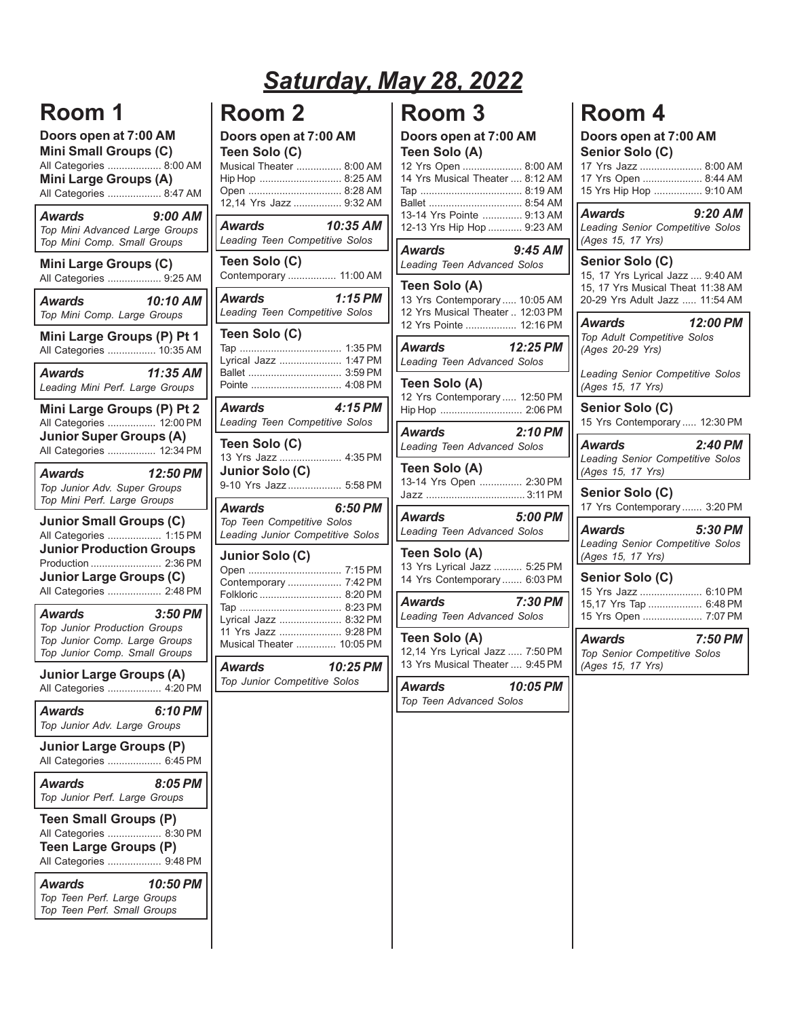## **Room 1**

**Doors open at 7:00 AM Mini Small Groups (C)** All Categories ................... 8:00 AM **Mini Large Groups (A)** All Categories ................... 8:47 AM *Awards 9:00 AM Top Mini Advanced Large Groups Top Mini Comp. Small Groups* **Mini Large Groups (C)** All Categories ................... 9:25 AM *Awards 10:10 AM Top Mini Comp. Large Groups* **Mini Large Groups (P) Pt 1** All Categories ................. 10:35 AM *Awards 11:35 AM Leading Mini Perf. Large Groups* **Mini Large Groups (P) Pt 2** All Categories ................. 12:00 PM **Junior Super Groups (A)** All Categories ................. 12:34 PM *Awards 12:50 PM Top Junior Adv. Super Groups Top Mini Perf. Large Groups* **Junior Small Groups (C)** All Categories ................... 1:15 PM **Junior Production Groups** Production ......................... 2:36 PM **Junior Large Groups (C)** All Categories ................... 2:48 PM *Awards 3:50 PM Top Junior Production Groups Top Junior Comp. Large Groups*

*Top Junior Comp. Small Groups* **Junior Large Groups (A)** All Categories ................... 4:20 PM

| <b>Awards</b><br>Top Junior Adv. Large Groups                                                                      | 6:10 PM  |
|--------------------------------------------------------------------------------------------------------------------|----------|
| Junior Large Groups (P)<br>All Categories  6:45 PM                                                                 |          |
| <b>Awards</b><br>Top Junior Perf. Large Groups                                                                     | 8:05 PM  |
| <b>Teen Small Groups (P)</b><br>All Categories  8:30 PM<br><b>Teen Large Groups (P)</b><br>All Categories  9.48 PM |          |
| <b>Awards</b><br>Top Teen Perf. Large Groups                                                                       | 10:50 PM |

*Top Teen Perf. Small Groups*

### **Room 2**

**Doors open at 7:00 AM**

| Teen Solo (C)<br>Musical Theater  8:00 AM<br>Hip Hop  8:25 AM<br>Open  8:28 AM<br>12,14 Yrs Jazz  9:32 AM |                    |
|-----------------------------------------------------------------------------------------------------------|--------------------|
| <b>Awards</b><br>Leading Teen Competitive Solos                                                           | 10:35 AM           |
| Teen Solo (C)<br>Contemporary  11:00 AM                                                                   |                    |
| Awards<br>Leading Teen Competitive Solos                                                                  | 1:15 PM            |
| Teen Solo (C)<br>Lyrical Jazz                                                                             | 1:35 PM<br>1:47 PM |
| Awards<br>Leading Teen Competitive Solos                                                                  | 4:15 PM            |
| Teen Solo (C)<br>13 Yrs Jazz  4:35 PM<br>Junior Solo (C)<br>9-10 Yrs Jazz  5:58 PM                        |                    |
| Awards<br>Top Teen Competitive Solos<br>Leading Junior Competitive Solos                                  | 6:50 PM            |
| Junior Solo (C)<br>Contemporary  7:42 PM<br>Folkloric  8:20 PM                                            |                    |
| Lyrical Jazz  8:32 PM<br>11 Yrs Jazz  9:28 PM<br>Musical Theater  10:05 PM                                |                    |
| Awards<br>Top Junior Competitive Solos                                                                    | 10:25 PM           |

### **Room 3**

*Saturday, May 28, 2022*

**Doors open at 7:00 AM Teen Solo (A)**

| Awards                           | $9:45$ AM |
|----------------------------------|-----------|
| 12-13 Yrs Hip Hop  9:23 AM       |           |
| 13-14 Yrs Pointe  9:13 AM        |           |
|                                  |           |
|                                  |           |
| 14 Yrs Musical Theater , 8:12 AM |           |
| 12 Yrs Open  8:00 AM             |           |

|               | <b>Leading Teen Advanced Solos</b> |  |
|---------------|------------------------------------|--|
| Teen Solo (A) |                                    |  |

| 19911 9919 171                   |  |
|----------------------------------|--|
| 13 Yrs Contemporary  10:05 AM    |  |
| 12 Yrs Musical Theater  12:03 PM |  |
| 12 Yrs Pointe  12:16 PM          |  |

*Awards 12:25 PM Leading Teen Advanced Solos*

**Teen Solo (A)** 12 Yrs Contemporary ..... 12:50 PM Hip Hop ............................. 2:06 PM

*Awards 2:10 PM Leading Teen Advanced Solos*

**Teen Solo (A)** 13-14 Yrs Open ............... 2:30 PM Jazz ................................... 3:11 PM

*Awards 5:00 PM Leading Teen Advanced Solos*

**Teen Solo (A)**

13 Yrs Lyrical Jazz .......... 5:25 PM 14 Yrs Contemporary ....... 6:03 PM

*Awards 7:30 PM Leading Teen Advanced Solos*

**Teen Solo (A)** 12,14 Yrs Lyrical Jazz ..... 7:50 PM 13 Yrs Musical Theater .... 9:45 PM

*Awards 10:05 PM Top Teen Advanced Solos*

## **Room 4**

#### **Doors open at 7:00 AM Senior Solo (C)**

|  | 17 Yrs Jazz  8:00 AM    |  |
|--|-------------------------|--|
|  | 17 Yrs Open  8:44 AM    |  |
|  | 15 Yrs Hip Hop  9:10 AM |  |

*Awards 9:20 AM Leading Senior Competitive Solos (Ages 15, 17 Yrs)*

### **Senior Solo (C)**

15, 17 Yrs Lyrical Jazz .... 9:40 AM 15, 17 Yrs Musical Theat 11:38 AM 20-29 Yrs Adult Jazz ..... 11:54 AM

*Awards 12:00 PM Top Adult Competitive Solos (Ages 20-29 Yrs)*

*Leading Senior Competitive Solos (Ages 15, 17 Yrs)*

**Senior Solo (C)** 15 Yrs Contemporary ..... 12:30 PM

*Awards 2:40 PM Leading Senior Competitive Solos (Ages 15, 17 Yrs)*

**Senior Solo (C)** 17 Yrs Contemporary ....... 3:20 PM

*Awards 5:30 PM Leading Senior Competitive Solos (Ages 15, 17 Yrs)*

#### **Senior Solo (C)**

| 15 Yrs Jazz  6:10 PM   |  |
|------------------------|--|
| 15,17 Yrs Tap  6:48 PM |  |
| 15 Yrs Open  7:07 PM   |  |

*Awards 7:50 PM Top Senior Competitive Solos (Ages 15, 17 Yrs)*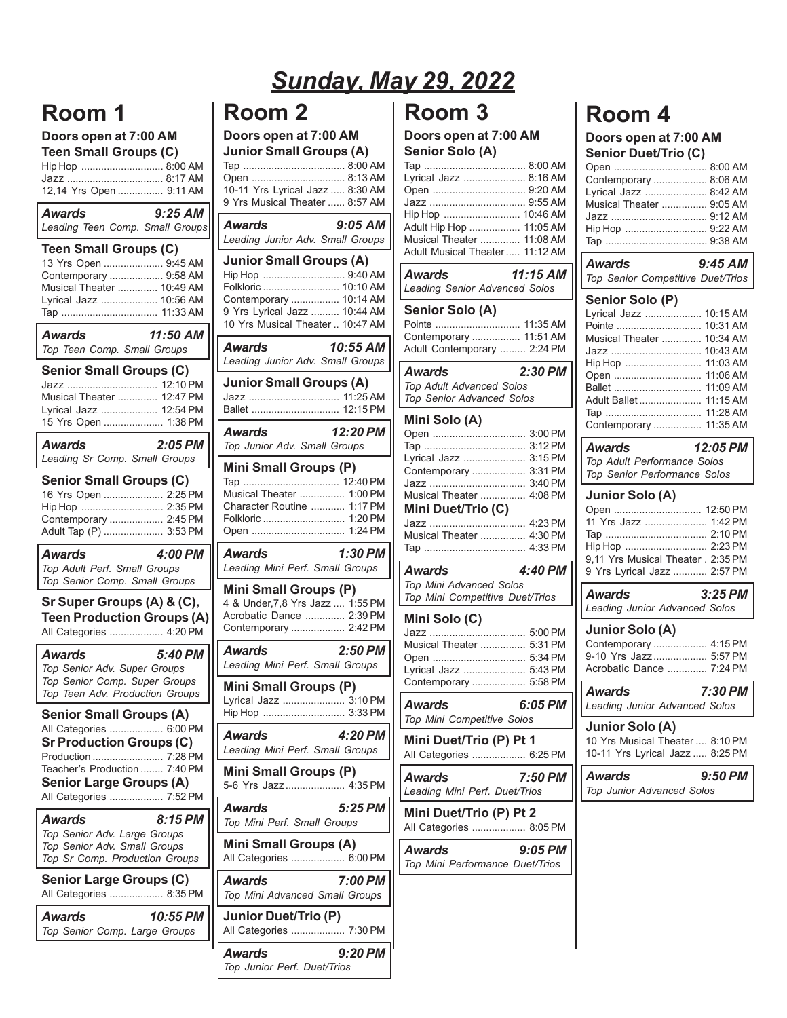## **Room 1**

### **Doors open at 7:00 AM Teen Small Groups (C)**

| Hip Hop  8:00 AM<br>12,14 Yrs Open  9:11 AM                                                                                                                                                                            |
|------------------------------------------------------------------------------------------------------------------------------------------------------------------------------------------------------------------------|
| $9:25$ AM<br><b>Awards</b><br>Leading Teen Comp. Small Groups                                                                                                                                                          |
| <b>Teen Small Groups (C)</b><br>13 Yrs Open  9:45 AM<br>Contemporary  9:58 AM<br>Musical Theater  10:49 AM<br>Lyrical Jazz  10:56 AM<br>Tap  11:33 AM                                                                  |
| 11:50 AM<br>Awards<br>Top Teen Comp. Small Groups                                                                                                                                                                      |
| <b>Senior Small Groups (C)</b><br>Jazz  12:10 PM<br>Musical Theater  12:47 PM<br>Lyrical Jazz  12:54 PM<br>15 Yrs Open  1:38 PM                                                                                        |
| $2:05$ PM<br><b>Awards</b><br>Leading Sr Comp. Small Groups                                                                                                                                                            |
| <b>Senior Small Groups (C)</b><br>16 Yrs Open  2:25 PM<br>Hip Hop  2:35 PM<br>Contemporary  2:45 PM<br>Adult Tap (P)  3:53 PM                                                                                          |
| 4:00 PM<br><b>Awards</b><br>Top Adult Perf. Small Groups<br>Top Senior Comp. Small Groups                                                                                                                              |
| Sr Super Groups (A) & (C),<br><b>Teen Production Groups (A)</b><br>All Categories  4:20 PM                                                                                                                             |
| 5:40 PM<br><b>Awards</b><br>Top Senior Adv. Super Groups<br>Top Senior Comp. Super Groups<br>Top Teen Adv. Production Groups                                                                                           |
| <b>Senior Small Groups (A)</b><br>All Categories  6:00 PM<br><b>Sr Production Groups (C)</b><br>$7.28$ PM<br>Production.<br>Teacher's Production  7:40 PM<br><b>Senior Large Groups (A)</b><br>All Categories  7:52 PM |
| 8:15 PM<br>Awards<br>Top Senior Adv. Large Groups<br>Top Senior Adv. Small Groups<br>Top Sr Comp. Production Groups                                                                                                    |
| <b>Senior Large Groups (C)</b><br>All Categories  8:35 PM                                                                                                                                                              |
| 10:55 PM<br>Awards<br>Top Senior Comp. Large Groups                                                                                                                                                                    |

# *Sunday, May 29, 2022*

## **Room 2**

### **Doors open at 7:00 AM Junior Small Groups (A)**

| 10-11 Yrs Lyrical Jazz  8:30 AM<br>9 Yrs Musical Theater  8:57 AM                                                                                                       |
|-------------------------------------------------------------------------------------------------------------------------------------------------------------------------|
| Awards<br>$9:05$ AM<br>Leading Junior Adv. Small Groups                                                                                                                 |
| <b>Junior Small Groups (A)</b><br>Hip Hop  9:40 AM<br>Folkloric  10:10 AM<br>Contemporary  10:14 AM<br>9 Yrs Lyrical Jazz  10:44 AM<br>10 Yrs Musical Theater  10:47 AM |
| 10:55 AM<br>Awards<br>Leading Junior Adv. Small Groups                                                                                                                  |
| <b>Junior Small Groups (A)</b><br>Jazz  11:25 AM<br>Ballet  12:15 PM                                                                                                    |
| 12:20 PM<br>Awards<br>Top Junior Adv. Small Groups                                                                                                                      |
| Mini Small Groups (P)<br>Musical Theater  1:00 PM<br>Character Routine  1:17 PM<br>Folkloric  1:20 PM<br>Open  1:24 PM                                                  |
| $1:30$ PM<br>Awards<br>Leading Mini Perf. Small Groups                                                                                                                  |
| <b>Mini Small Groups (P)</b><br>4 & Under, 7,8 Yrs Jazz  1:55 PM<br>Acrobatic Dance  2:39 PM<br>Contemporary  2:42 PM                                                   |
|                                                                                                                                                                         |
| <b>Awards</b><br>$2:50$ PM<br>Leading Mini Perf. Small Groups                                                                                                           |
| Mini Small Groups (P)<br>Lyrical Jazz<br>3:10 PM<br>Hip Hop  3:33 PM                                                                                                    |
| <b>Awards</b><br>4:20 PM<br>Leading Mini Perf. Small Groups                                                                                                             |
| Mini Small Groups (P)<br>5-6 Yrs Jazz<br>4:35 PM                                                                                                                        |
| <b>Awards</b><br>5:25 PM<br>Top Mini Perf. Small Groups                                                                                                                 |
| <b>Mini Small Groups (A)</b><br>All Categories  6:00 PM                                                                                                                 |
| 7:00 PM                                                                                                                                                                 |
| <b>Awards</b><br>Top Mini Advanced Small Groups<br><b>Junior Duet/Trio (P)</b><br>All Categories  7:30 PM                                                               |

## **Room 3**

#### **Doors open at 7:00 AM Senior Solo (A)**

| Jeliiul Julu (A)                                                                                                                                                        |
|-------------------------------------------------------------------------------------------------------------------------------------------------------------------------|
| Lyrical Jazz  8:16 AM<br>Open  9:20 AM<br>Jazz  9:55 AM<br>Hip Hop  10:46 AM<br>Adult Hip Hop  11:05 AM<br>Musical Theater  11:08 AM<br>Adult Musical Theater  11:12 AM |
| <b>Awards</b><br>$11:15$ AM<br><b>Leading Senior Advanced Solos</b>                                                                                                     |
| Senior Solo (A)<br>Pointe  11:35 AM<br>Contemporary  11:51 AM<br>Adult Contemporary  2:24 PM                                                                            |
| <b>Awards</b><br>2:30 PM<br>Top Adult Advanced Solos<br>Top Senior Advanced Solos                                                                                       |
| Mini Solo (A)<br>Open  3:00 PM<br>3:15 PM<br>Lyrical Jazz<br>Contemporary<br>3:31 PM<br>3:40 PM<br>4:08 PM<br>Musical Theater<br>Mini Duet/Trio (C)<br>Jazz  4:23 PM    |
| Musical Theater  4:30 PM                                                                                                                                                |
| 4:40 PM<br>Awards<br>Top Mini Advanced Solos<br>Top Mini Competitive Duet/Trios                                                                                         |
| Mini Solo (C)<br>Musical Theater  5:31 PM<br>5:34 PM<br>Open<br>Lyrical Jazz  5:43 PM<br>Contemporary  5:58 PM                                                          |
| 6:05 PM<br><b>Awards</b><br>Top Mini Competitive Solos                                                                                                                  |
| Mini Duet/Trio (P) Pt 1<br>All Categories  6:25 PM                                                                                                                      |
| Awards<br>7:50 PM<br>Leading Mini Perf. Duet/Trios                                                                                                                      |
| Mini Duet/Trio (P) Pt 2<br>All Categories<br>8:05 PM                                                                                                                    |
| Awards<br>9:05 PM<br>Top Mini Performance Duet/Trios                                                                                                                    |
|                                                                                                                                                                         |

## **Room 4**

#### **Doors open at 7:00 AM Senior Duet/Trio (C)**

| Contemporary  8:06 AM    |
|--------------------------|
| Lyrical Jazz  8:42 AM    |
| Musical Theater  9:05 AM |
|                          |
|                          |
|                          |
|                          |

| Awards<br>Top Senior Competitive Duet/Trios                                                                                                               | $9:45$ AM                                                                                                            |
|-----------------------------------------------------------------------------------------------------------------------------------------------------------|----------------------------------------------------------------------------------------------------------------------|
| Senior Solo (P)<br>Lyrical Jazz<br>Pointe<br>Musical Theater<br>Jazz<br>Hip Hop<br>Open<br>Ballet<br>Adult Ballet<br>Tap<br>Contemporary                  | 10:15 AM<br>10:31 AM<br>10:34 AM<br>10:43 AM<br>11:03 AM<br>11:06 AM<br>11:09 AM<br>11:15 AM<br>11:28 AM<br>11:35 AM |
| Awards<br>Top Adult Performance Solos<br>Top Senior Performance Solos                                                                                     | 12:05 PM                                                                                                             |
| <b>Junior Solo (A)</b><br>Open  12:50 PM<br>11 Yrs Jazz  1:42 PM<br>Hip Hop  2:23 PM<br>9,11 Yrs Musical Theater . 2:35 PM<br>9 Yrs Lyrical Jazz  2:57 PM | 2:10 PM                                                                                                              |
| Awards<br>Leading Junior Advanced Solos                                                                                                                   | $3:25$ PM                                                                                                            |
| <b>Junior Solo (A)</b><br>Contemporary  4:15 PM<br>9-10 Yrs Jazz  5:57 PM<br>Acrobatic Dance  7:24 PM                                                     |                                                                                                                      |
| <b>Awards</b><br>Leading Junior Advanced Solos                                                                                                            | 7:30 PM                                                                                                              |
| <b>Junior Solo (A)</b><br>10 Yrs Musical Theater  8:10 PM<br>10-11 Yrs Lyrical Jazz  8:25 PM                                                              |                                                                                                                      |

*Awards 9:50 PM Top Junior Advanced Solos*

L